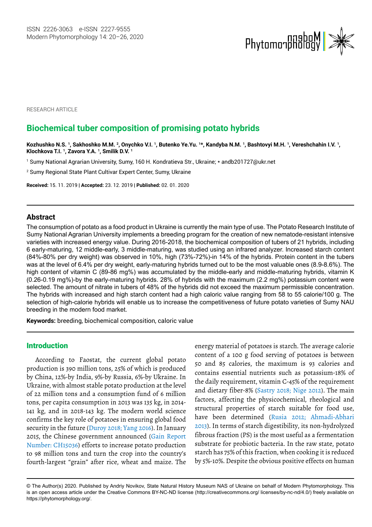

RESEARCH ARTICLE

# **Biochemical tuber composition of promising potato hybrids**

**Kozhushko N.S. 1, Sakhoshko M.M. 2, Onychko V.I. 1, Butenko Ye.Yu. 1\*, Kandyba N.M. 1, Bashtovyi M.H. 1, Vereshchahin I.V. 1, Klochkova T.I. 1, Zavora Y.A. 1, Smilik D.V. 1**

1 Sumy National Agrarian University, Sumy, 160 H. Kondratieva Str., Ukraine; \* [andb201727@ukr.net](mailto:andb201727@ukr.net)

2 Sumy Regional State Plant Cultivar Expert Center, Sumy, Ukraine

**Received:** 15. 11. 2019 | **Accepted:** 23. 12. 2019 | **Published:** 02. 01. 2020

# **Abstract**

The consumption of potato as a food product in Ukraine is currently the main type of use. The Potato Research Institute of Sumy National Agrarian University implements a breeding program for the creation of new nematode-resistant intensive varieties with increased energy value. During 2016-2018, the biochemical composition of tubers of 21 hybrids, including 6 early-maturing, 12 middle-early, 3 middle-maturing, was studied using an infrared analyzer. Increased starch content (84%-80% per dry weight) was observed in 10%, high (73%-72%)-in 14% of the hybrids. Protein content in the tubers was at the level of 6.4% per dry weight, early-maturing hybrids turned out to be the most valuable ones (8.9-8.6%). The high content of vitamin C (89-86 mg%) was accumulated by the middle-early and middle-maturing hybrids, vitamin K (0.26-0.19 mg%)-by the early-maturing hybrids. 28% of hybrids with the maximum (2.2 mg%) potassium content were selected. The amount of nitrate in tubers of 48% of the hybrids did not exceed the maximum permissible concentration. The hybrids with increased and high starch content had a high caloric value ranging from 58 to 55 calorie/100 g. The selection of high-calorie hybrids will enable us to increase the competitiveness of future potato varieties of Sumy NAU breeding in the modern food market.

**Keywords:** breeding, biochemical composition, caloric value

# Introduction

According to Faostat, the current global potato production is 390 million tons, 25% of which is produced by China, 12%-by India, 9%-by Russia, 6%-by Ukraine. In Ukraine, with almost stable potato production at the level of 22 million tons and a consumption fund of 6 million tons, per capita consumption in 2013 was 135 kg, in 2014- 141 kg, and in 2018-143 kg. The modern world science confirms the key role of potatoes in ensuring global food security in the future (Duroy 2018; Yang 2016). In January 2015, the Chinese government announced (Gain Report Number: CH15036) efforts to increase potato production to 98 million tons and turn the crop into the country's fourth-largest "grain" after rice, wheat and maize. The

energy material of potatoes is starch. The average calorie content of a 100 g food serving of potatoes is between 50 and 85 calories, the maximum is 93 calories and contains essential nutrients such as potassium-18% of the daily requirement, vitamin C-45% of the requirement and dietary fiber-8% (Sastry 2018; Nige 2012). The main factors, affecting the physicochemical, rheological and structural properties of starch suitable for food use, have been determined (Rusia 2012; Ahmadi-Abhari 2013). In terms of starch digestibility, its non-hydrolyzed fibrous fraction (PS) is the most useful as a fermentation substrate for probiotic bacteria. In the raw state, potato starch has 75% of this fraction, when cooking it is reduced by 5%-10%. Despite the obvious positive effects on human

<sup>©</sup> The Author(s) 2020. Published by Andriy Novikov, State Natural History Museum NAS of Ukraine on behalf of Modern Phytomorphology. This is an open access article under the Creative Commons BY-NC-ND license (http://creativecommons.org/ licenses/by-nc-nd/4.0/) freely available on https://phytomorphology.org/.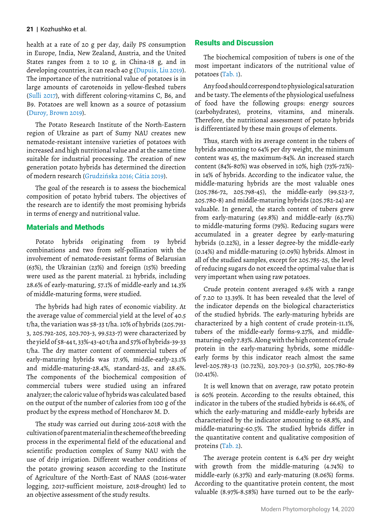health at a rate of 20 g per day, daily PS consumption in Europe, India, New Zealand, Austria, and the United States ranges from 2 to 10 g, in China-18 g, and in developing countries, it can reach 40 g (Dupuis, Liu 2019). The importance of the nutritional value of potatoes is in large amounts of carotenoids in yellow-fleshed tubers (Sulli 2017), with different coloring-vitamins C, B6, and B9. Potatoes are well known as a source of potassium (Duroy, Brown 2019).

The Potato Research Institute of the North-Eastern region of Ukraine as part of Sumy NAU creates new nematode-resistant intensive varieties of potatoes with increased and high nutritional value and at the same time suitable for industrial processing. The creation of new generation potato hybrids has determined the direction of modern research (Grudzińska 2016; Cátia 2019).

The goal of the research is to assess the biochemical composition of potato hybrid tubers. The objectives of the research are to identify the most promising hybrids in terms of energy and nutritional value.

### Materials and Methods

Potato hybrids originating from 19 hybrid combinations and two from self-pollination with the involvement of nematode-resistant forms of Belarusian (63%), the Ukrainian (23%) and foreign (15%) breeding were used as the parent material. 21 hybrids, including 28.6% of early-maturing, 57.1% of middle-early and 14.3% of middle-maturing forms, were studied.

The hybrids had high rates of economic viability. At the average value of commercial yield at the level of 40.5 t/ha, the variation was 58-33 t/ha. 10% of hybrids (205.791- 3, 205.792-205, 203.703-3, 99.523-7) were characterized by the yield of 58-44 t, 33%-43-40 t/ha and 57% of hybrids-39-33 t/ha. The dry matter content of commercial tubers of early-maturing hybrids was 17.9%, middle-early-23.1% and middle-maturing-28.4%, standard-25, and 28.6%. The components of the biochemical composition of commercial tubers were studied using an infrared analyzer; the caloric value of hybrids was calculated based on the output of the number of calories from 100 g of the product by the express method of Honcharov M. D.

The study was carried out during 2016-2018 with the cultivation of parent material in the scheme of the breeding process in the experimental field of the educational and scientific production complex of Sumy NAU with the use of drip irrigation. Different weather conditions of the potato growing season according to the Institute of Agriculture of the North-East of NAAS (2016-water logging, 2017-sufficient moisture, 2018-drought) led to an objective assessment of the study results.

# Results and Discussion

The biochemical composition of tubers is one of the most important indicators of the nutritional value of potatoes (Tab. 1).

Any food should correspond to physiological saturation and be tasty. The elements of the physiological usefulness of food have the following groups: energy sources (carbohydrates), proteins, vitamins, and minerals. Therefore, the nutritional assessment of potato hybrids is differentiated by these main groups of elements.

Thus, starch with its average content in the tubers of hybrids amounting to 64% per dry weight, the minimum content was 45, the maximum-84%. An increased starch content (84%-80%) was observed in 10%, high (73%-72%) in 14% of hybrids. According to the indicator value, the middle-maturing hybrids are the most valuable ones (205.786-72, 205.798-45), the middle-early (99.523-7, 205.780-8) and middle-maturing hybrids (205.782-24) are valuable. In general, the starch content of tubers grew from early-maturing (49.8%) and middle-early (63.7%) to middle-maturing forms (79%). Reducing sugars were accumulated in a greater degree by early-maturing hybrids (0.22%), in a lesser degree-by the middle-early (0.14%) and middle-maturing (0.09%) hybrids. Almost in all of the studied samples, except for 205.785-25, the level of reducing sugars do not exceed the optimal value that is very important when using raw potatoes.

Crude protein content averaged 9.6% with a range of 7.20 to 13.39%. It has been revealed that the level of the indicator depends on the biological characteristics of the studied hybrids. The early-maturing hybrids are characterized by a high content of crude protein-11.1%, tubers of the middle-early forms-9.27%, and middlematuring-only 7.83%. Along with the high content of crude protein in the early-maturing hybrids, some middleearly forms by this indicator reach almost the same level-205.783-13 (10.72%), 203.703-3 (10.57%), 205.780-89  $(10.41\%).$ 

It is well known that on average, raw potato protein is 60% protein. According to the results obtained, this indicator in the tubers of the studied hybrids is 66.6%, of which the early-maturing and middle-early hybrids are characterized by the indicator amounting to 68.8%, and middle-maturing-60.5%. The studied hybrids differ in the quantitative content and qualitative composition of proteins (Tab. 2).

The average protein content is 6.4% per dry weight with growth from the middle-maturing (4.74%) to middle-early (6.37%) and early-maturing (8.06%) forms. According to the quantitative protein content, the most valuable (8.97%-8.58%) have turned out to be the early-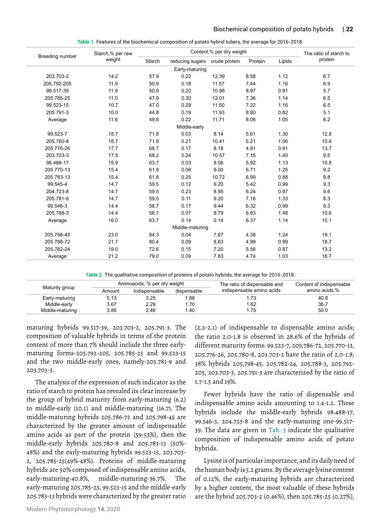|                 | Starch,% per raw |        |                               | Content,% per dry weight |         |        | The ratio of starch to |  |
|-----------------|------------------|--------|-------------------------------|--------------------------|---------|--------|------------------------|--|
| Breeding number | weight           | Starch | reducing sugars crude protein |                          | Protein | Lipids | protein                |  |
|                 |                  |        | Early-maturing                |                          |         |        |                        |  |
| 203.703-2       | 14.2             | 57.9   | 0.22                          | 12.39                    | 8.58    | 1.12   | 6.7                    |  |
| 205.792-205     | 11.9             | 50.9   | 0.18                          | 11.57                    | 7.44    | 1.16   | 6.9                    |  |
| 99.517-39       | 11.9             | 50.9   | 0.20                          | 10.88                    | 8.97    | 0.91   | 5.7                    |  |
| 205.785-25      | 11.0             | 47.9   | 0.30                          | 12.01                    | 7.36    | 1.14   | 6.5                    |  |
| 99.523-15       | 10.7             | 47.0   | 0.29                          | 11.50                    | 7.22    | 1.16   | 6.5                    |  |
| 205.791-3       | 10.0             | 44.8   | 0.19                          | 11.93                    | 8.80    | 0.82   | 5.1                    |  |
| Average         | 11.6             | 49.8   | 0.22                          | 11.71                    | 8.06    | 1.05   | 6.2                    |  |
|                 |                  |        | Middle-early                  |                          |         |        |                        |  |
| 99.523-7        | 18.7             | 71.8   | 0.03                          | 8.14                     | 5.61    | 1.30   | 12.8                   |  |
| 205.780-8       | 18.7             | 71.8   | 0.21                          | 10.41                    | 6.21    | 1.06   | 10.6                   |  |
| 205.776-26      | 17.7             | 68.7   | 0.17                          | 8.18                     | 4.91    | 0.91   | 13.7                   |  |
| 203.703-3       | 17.5             | 68.2   | 0.24                          | 10.57                    | 7.15    | 1.40   | 9.5                    |  |
| 98.488-17       | 15.9             | 63.7   | 0.03                          | 8.58                     | 5.92    | 1.13   | 10.8                   |  |
| 205.770-13      | 15.4             | 61.8   | 0.06                          | 9.00                     | 6.71    | 1.25   | 9.2                    |  |
| 205.783-13      | 15.4             | 61.8   | 0.25                          | 10.72                    | 6.99    | 0.88   | 8.8                    |  |
| 99.545-4        | 14.7             | 59.5   | 0.12                          | 9.20                     | 5.42    | 0.99   | 9.3                    |  |
| 204.723-8       | 14.7             | 59.5   | 0.23                          | 8.95                     | 6.24    | 0.97   | 9.6                    |  |
| 205.781-9       | 14.7             | 59.5   | 0.11                          | 9.20                     | 7.16    | 1.33   | 8.3                    |  |
| 99.546-3        | 14.4             | 58.7   | 0.17                          | 9.44                     | 6.32    | 0.99   | 9.3                    |  |
| 205.788-3       | 14.4             | 58.7   | 0.07                          | 8.79                     | 6.83    | 1.48   | 10.6                   |  |
| Average         | 16.0             | 63.7   | 0.14                          | 0.14                     | 6.37    | 1.14   | 10.1                   |  |
|                 |                  |        | Middle-maturing               |                          |         |        |                        |  |
| 205.798-45      | 23.0             | 84.3   | 0.04                          | 7.67                     | 4.38    | 1.24   | 19.1                   |  |
| 205.786-72      | 21.7             | 80.4   | 0.09                          | 8.63                     | 4.99    | 0.99   | 18.7                   |  |
| 205.782-24      | 19.0             | 72.6   | 0.15                          | 7.20                     | 5.56    | 0.87   | 13.2                   |  |
| Average         | 21.2             | 79.0   | 0.09                          | 7.83                     | 4.74    | 1.03   | 16.7                   |  |

**Table 1.** Features of the biochemical composition of potato hybrid tubers, the average for 2016-2018.

**Table 2.** The qualitative composition of proteins of potato hybrids, the average for 2016-2018.

|                 |        | Aminoacids, % per dry weight |             | The ratio of dispensable and | Content of indispensable |  |
|-----------------|--------|------------------------------|-------------|------------------------------|--------------------------|--|
| Maturity group  | Amount | Indispensable                | dispensable | indispensable amino acids    | amino acids.%            |  |
| Early-maturing  | 5.13   | 3.25                         | .88         | .73                          | 40.8                     |  |
| Middle-early    | 3.67   | 2.29                         | .70         | .62                          | 36.7                     |  |
| Middle-maturing | 3.86   | 2.46                         | .40         | . 75                         | 50.0                     |  |

maturing hybrids 99.517-39, 203.703-2, 205.791-3. The composition of valuable hybrids in terms of the protein content of more than 7% should include the three earlymaturing forms-205.792-205, 205.785-25 and 99.523-15 and the two middle-early ones, namely-205.781-9 and 203.703-3.

The analysis of the expression of such indicator as the ratio of starch to protein has revealed its clear increase by the group of hybrid maturity from early-maturing (6.2) to middle-early (10.1) and middle-maturing (16.7). The middle-maturing hybrids 205.786-72 and 205.798-45 are characterized by the greater amount of indispensable amino acids as part of the protein (59-53%), then the middle-early hybrids 205.780-8 and 205.783-13 (50%- 48%) and the early-maturing hybrids 99.523-15, 203.703- 2, 205.785-25(49%-48%). Proteins of middle-maturing hybrids are 50% composed of indispensable amino acids, early-maturing-40.8%, middle-maturing-36.7%. The early-maturing 205.785-25, 99.523-15 and the middle-early 205.783-13 hybrids were characterized by the greater ratio

(2.2-2.1) of indispensable to dispensable amino acids; the ratio 2.0-1.8 is observed in 28.6% of the hybrids of different maturity forms: 99.523-7, 205.786-72, 205.770-13, 205.776-26, 205.780-8, 203.703-2 have the ratio of 2.0-1.8; 38% hybrids 205.798-45, 205.782-24, 205.788-3, 205.792- 205, 203.703-3, 205.791-3 are characterized by the ratio of 1.7-1.5 and 19%.

Fewer hybrids have the ratio of dispensable and indispensable amino acids amounting to 1.4-1.2. These hybrids include the middle-early hybrids 98.488-17, 99.546-3, 204.723-8 and the early-maturing one-99.517- 39. The data are given in Tab.  $3$  indicate the qualitative composition of indispensable amino acids of potato hybrids.

Lysine is of particular importance, and its daily need of the human body is 5.2 grams. By the average lysine content of 0.12%, the early-maturing hybrids are characterized by a higher content, the most valuable of these hybrids are the hybrid 205.703-2 (0.46%), then 205.785-25 (0.27%),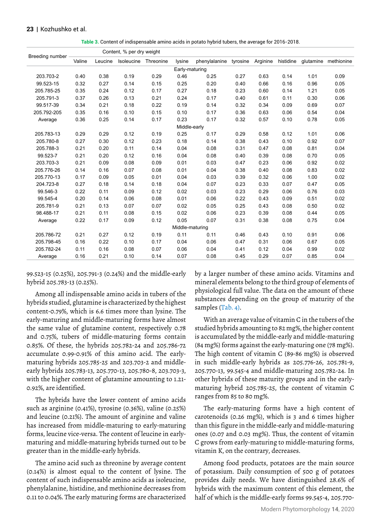#### **23** | Kozhushko et al.

| Table 3. Content of indispensable amino acids in potato hybrid tubers, the average for 2016-2018. |  |  |  |
|---------------------------------------------------------------------------------------------------|--|--|--|
|---------------------------------------------------------------------------------------------------|--|--|--|

|                 |        |         | Content, % per dry weight |           |                 |               |          |          |           |      |                      |
|-----------------|--------|---------|---------------------------|-----------|-----------------|---------------|----------|----------|-----------|------|----------------------|
| Breeding number | Valine | Leucine | Isoleucine                | Threonine | lysine          | phenylalanine | tyrosine | Arginine | histidine |      | glutamine methionine |
|                 |        |         |                           |           | Early-maturing  |               |          |          |           |      |                      |
| 203.703-2       | 0.40   | 0.38    | 0.19                      | 0.29      | 0.46            | 0.25          | 0.27     | 0.63     | 0.14      | 1.01 | 0.09                 |
| 99.523-15       | 0.32   | 0.27    | 0.14                      | 0.15      | 0.25            | 0.20          | 0.40     | 0.66     | 0.16      | 0.96 | 0.05                 |
| 205.785-25      | 0.35   | 0.24    | 0.12                      | 0.17      | 0.27            | 0.18          | 0.23     | 0.60     | 0.14      | 1.21 | 0.05                 |
| 205.791-3       | 0.37   | 0.26    | 0.13                      | 0.21      | 0.24            | 0.17          | 0.40     | 0.61     | 0.11      | 0.30 | 0.06                 |
| 99.517-39       | 0.34   | 0.21    | 0.18                      | 0.22      | 0.19            | 0.14          | 0.32     | 0.34     | 0.09      | 0.69 | 0.07                 |
| 205.792-205     | 0.35   | 0.16    | 0.10                      | 0.15      | 0.10            | 0.17          | 0.36     | 0.63     | 0.06      | 0.54 | 0.04                 |
| Average         | 0.36   | 0.25    | 0.14                      | 0.17      | 0.23            | 0.17          | 0.32     | 0.57     | 0.10      | 0.78 | 0.05                 |
|                 |        |         |                           |           | Middle-early    |               |          |          |           |      |                      |
| 205.783-13      | 0.29   | 0.29    | 0.12                      | 0.19      | 0.25            | 0.17          | 0.29     | 0.58     | 0.12      | 1.01 | 0.06                 |
| 205.780-8       | 0.27   | 0.30    | 0.12                      | 0.23      | 0.18            | 0.14          | 0.38     | 0.43     | 0.10      | 0.92 | 0.07                 |
| 205.788-3       | 0.21   | 0.20    | 0.11                      | 0.14      | 0.04            | 0.08          | 0.31     | 0.47     | 0.08      | 0.81 | 0.04                 |
| 99.523-7        | 0.21   | 0.20    | 0.12                      | 0.16      | 0.04            | 0.08          | 0.40     | 0.39     | 0.08      | 0.70 | 0.05                 |
| 203.703-3       | 0.21   | 0.09    | 0.08                      | 0.09      | 0.01            | 0.03          | 0.47     | 0.23     | 0.06      | 0.92 | 0.02                 |
| 205.776-26      | 0.14   | 0.16    | 0.07                      | 0.08      | 0.01            | 0.04          | 0.38     | 0.40     | 0.08      | 0.83 | 0.02                 |
| 205.770-13      | 0.17   | 0.09    | 0.05                      | 0.01      | 0.04            | 0.03          | 0.39     | 0.32     | 0.06      | 1.00 | 0.02                 |
| 204.723-8       | 0.27   | 0.18    | 0.14                      | 0.18      | 0.04            | 0.07          | 0.23     | 0.33     | 0.07      | 0.47 | 0.05                 |
| 99.546-3        | 0.22   | 0.11    | 0.09                      | 0.12      | 0.02            | 0.03          | 0.23     | 0.29     | 0.06      | 0.76 | 0.03                 |
| 99.545-4        | 0.20   | 0.14    | 0.06                      | 0.08      | 0.01            | 0.06          | 0.22     | 0.43     | 0.09      | 0.51 | 0.02                 |
| 205.781-9       | 0.21   | 0.13    | 0.07                      | 0.07      | 0.02            | 0.05          | 0.25     | 0.43     | 0.08      | 0.50 | 0.02                 |
| 98.488-17       | 0.21   | 0.11    | 0.08                      | 0.15      | 0.02            | 0.06          | 0.23     | 0.39     | 0.08      | 0.44 | 0.05                 |
| Average         | 0.22   | 0.17    | 0.09                      | 0.12      | 0.05            | 0.07          | 0.31     | 0.38     | 0.08      | 0.75 | 0.04                 |
|                 |        |         |                           |           | Middle-maturing |               |          |          |           |      |                      |
| 205.786-72      | 0.21   | 0.27    | 0.12                      | 0.19      | 0.11            | 0.11          | 0.46     | 0.43     | 0.10      | 0.91 | 0.06                 |
| 205.798-45      | 0.16   | 0.22    | 0.10                      | 0.17      | 0.04            | 0.06          | 0.47     | 0.31     | 0.06      | 0.67 | 0.05                 |
| 205.782-24      | 0.11   | 0.16    | 0.08                      | 0.07      | 0.06            | 0.04          | 0.41     | 0.12     | 0.04      | 0.99 | 0.02                 |
| Average         | 0.16   | 0.21    | 0.10                      | 0.14      | 0.07            | 0.08          | 0.45     | 0.29     | 0.07      | 0.85 | 0.04                 |

99.523-15 (0.25%), 205.791-3 (0.24%) and the middle-early hybrid 205.783-13 (0.25%).

Among all indispensable amino acids in tubers of the hybrids studied, glutamine is characterized by the highest content-0.79%, which is 6.6 times more than lysine. The early-maturing and middle-maturing forms have almost the same value of glutamine content, respectively 0.78 and 0.75%, tubers of middle-maturing forms contain 0.85%. Of these, the hybrids 205.782-24 and 205.786-72 accumulate 0.99-0.91% of this amino acid. The earlymaturing hybrids 205.785-25 and 203.703-2 and middleearly hybrids 205.783-13, 205.770-13, 205.780-8, 203.703-3, with the higher content of glutamine amounting to 1.21- 0.92%, are identified.

The hybrids have the lower content of amino acids such as arginine (0.41%), tyrosine (0.36%), valine (0.25%) and leucine (0.21%). The amount of arginine and valine has increased from middle-maturing to early-maturing forms, leucine vice-versa. The content of leucine in earlymaturing and middle-maturing hybrids turned out to be greater than in the middle-early hybrids.

The amino acid such as threonine by average content (0.14%) is almost equal to the content of lysine. The content of such indispensable amino acids as isoleucine, phenylalanine, histidine, and methionine decreases from 0.11 to 0.04%. The early maturing forms are characterized

by a larger number of these amino acids. Vitamins and mineral elements belong to the third group of elements of physiological full value. The data on the amount of these substances depending on the group of maturity of the samples (Tab. 4).

With an average value of vitamin C in the tubers of the studied hybrids amounting to 82 mg%, the higher content is accumulated by the middle-early and middle-maturing (84 mg%) forms against the early-maturing one (78 mg%). The high content of vitamin C (89-86 mg%) is observed in such middle-early hybrids as 205.776-26, 205.781-9, 205.770-13, 99.545-4 and middle-maturing 205.782-24. In other hybrids of these maturity groups and in the earlymaturing hybrid 205.785-25, the content of vitamin C ranges from 85 to 80 mg%.

The early-maturing forms have a high content of carotenoids (0.26 mg%), which is 3 and 6 times higher than this figure in the middle-early and middle-maturing ones (0.07 and 0.03 mg%). Thus, the content of vitamin C grows from early-maturing to middle-maturing forms, vitamin K, on the contrary, decreases.

Among food products, potatoes are the main source of potassium. Daily consumption of 500 g of potatoes provides daily needs. We have distinguished 28.6% of hybrids with the maximum content of this element, the half of which is the middle-early forms 99.545-4, 205.770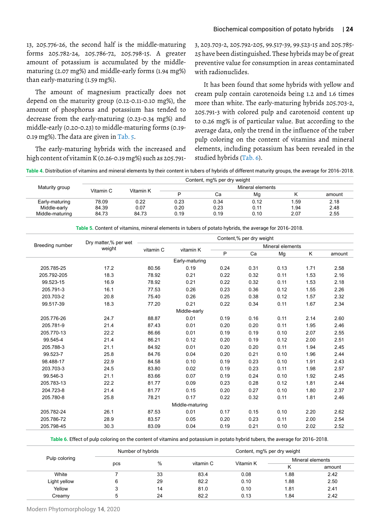13, 205.776-26, the second half is the middle-maturing forms 205.782-24, 205.786-72, 205.798-15. A greater amount of potassium is accumulated by the middlematuring (2.07 mg%) and middle-early forms (1.94 mg%) than early-maturing (1.59 mg%).

The amount of magnesium practically does not depend on the maturity group (0.12-0.11-0.10 mg%), the amount of phosphorus and potassium has tended to decrease from the early-maturing (0.23-0.34 mg%) and middle-early (0.20-0.23) to middle-maturing forms (0.19- 0.19 mg%). The data are given in Tab. 5.

The early-maturing hybrids with the increased and high content of vitamin K (0.26-0.19 mg%) such as 205.7913, 203.703-2, 205.792-205, 99.517-39, 99.523-15 and 205.785- 25 have been distinguished. These hybrids may be of great preventive value for consumption in areas contaminated with radionuclides.

It has been found that some hybrids with yellow and cream pulp contain carotenoids being 1.2 and 1.6 times more than white. The early-maturing hybrids 205.703-2, 205.791-3 with colored pulp and carotenoid content up to 0.26 mg% is of particular value. But according to the average data, only the trend in the influence of the tuber pulp coloring on the content of vitamins and mineral elements, including potassium has been revealed in the studied hybrids (Tab. 6).

**Table 4.** Distribution of vitamins and mineral elements by their content in tubers of hybrids of different maturity groups, the average for 2016-2018.

|                 |           |           |                  | Content, mg% per dry weight |      |      |        |  |  |
|-----------------|-----------|-----------|------------------|-----------------------------|------|------|--------|--|--|
| Maturity group  | Vitamin C | Vitamin K | Mineral elements |                             |      |      |        |  |  |
|                 |           |           |                  | Сa                          | Mg   |      | amount |  |  |
| Early-maturing  | 78.09     | 0.22      | 0.23             | 0.34                        | 0.12 | 1.59 | 2.18   |  |  |
| Middle-early    | 84.39     | 0.07      | 0.20             | 0.23                        | 0.11 | 1.94 | 2.48   |  |  |
| Middle-maturing | 84.73     | 84.73     | 0.19             | 0.19                        | 0.10 | 2.07 | 2.55   |  |  |

|                 |                                |                        |                 |      | Content,% per dry weight |      |        |      |
|-----------------|--------------------------------|------------------------|-----------------|------|--------------------------|------|--------|------|
| Breeding number | Dry matter,% per wet<br>weight |                        |                 |      |                          |      |        |      |
|                 |                                | vitamin C<br>vitamin K | P               | Ca   | Mg                       | Κ    | amount |      |
|                 |                                |                        | Early-maturing  |      |                          |      |        |      |
| 205.785-25      | 17.2                           | 80.56                  | 0.19            | 0.24 | 0.31                     | 0.13 | 1.71   | 2.58 |
| 205.792-205     | 18.3                           | 78.92                  | 0.21            | 0.22 | 0.32                     | 0.11 | 1.53   | 2.16 |
| 99.523-15       | 16.9                           | 78.92                  | 0.21            | 0.22 | 0.32                     | 0.11 | 1.53   | 2.18 |
| 205.791-3       | 16.1                           | 77.53                  | 0.26            | 0.23 | 0.36                     | 0.12 | 1.55   | 2.26 |
| 203.703-2       | 20.8                           | 75.40                  | 0.26            | 0.25 | 0.38                     | 0.12 | 1.57   | 2.32 |
| 99.517-39       | 18.3                           | 77.20                  | 0.21            | 0.22 | 0.34                     | 0.11 | 1.67   | 2.34 |
|                 |                                |                        | Middle-early    |      |                          |      |        |      |
| 205.776-26      | 24.7                           | 88.87                  | 0.01            | 0.19 | 0.16                     | 0.11 | 2.14   | 2.60 |
| 205.781-9       | 21.4                           | 87.43                  | 0.01            | 0.20 | 0.20                     | 0.11 | 1.95   | 2.46 |
| 205.770-13      | 22.2                           | 86.66                  | 0.01            | 0.19 | 0.19                     | 0.10 | 2.07   | 2.55 |
| 99.545-4        | 21.4                           | 86.21                  | 0.12            | 0.20 | 0.19                     | 0.12 | 2.00   | 2.51 |
| 205.788-3       | 21.1                           | 84.92                  | 0.01            | 0.20 | 0.20                     | 0.11 | 1.94   | 2.45 |
| 99.523-7        | 25.8                           | 84.76                  | 0.04            | 0.20 | 0.21                     | 0.10 | 1.96   | 2.44 |
| 98.488-17       | 22.9                           | 84.58                  | 0.10            | 0.19 | 0.23                     | 0.10 | 1.91   | 2.43 |
| 203.703-3       | 24.5                           | 83.80                  | 0.02            | 0.19 | 0.23                     | 0.11 | 1.98   | 2.57 |
| 99.546-3        | 21.1                           | 83.66                  | 0.07            | 0.19 | 0.24                     | 0.10 | 1.92   | 2.45 |
| 205.783-13      | 22.2                           | 81.77                  | 0.09            | 0.23 | 0.28                     | 0.12 | 1.81   | 2.44 |
| 204.723-8       | 21.4                           | 81.77                  | 0.15            | 0.20 | 0.27                     | 0.10 | 1.80   | 2.37 |
| 205.780-8       | 25.8                           | 78.21                  | 0.17            | 0.22 | 0.32                     | 0.11 | 1.81   | 2.46 |
|                 |                                |                        | Middle-maturing |      |                          |      |        |      |
| 205.782-24      | 26.1                           | 87.53                  | 0.01            | 0.17 | 0.15                     | 0.10 | 2.20   | 2.62 |
| 205.786-72      | 28.9                           | 83.57                  | 0.05            | 0.20 | 0.23                     | 0.11 | 2.00   | 2.54 |
| 205.798-45      | 30.3                           | 83.09                  | 0.04            | 0.19 | 0.21                     | 0.10 | 2.02   | 2.52 |

**Table 5.** Content of vitamins, mineral elements in tubers of potato hybrids, the average for 2016-2018.

**Table 6.** Effect of pulp coloring on the content of vitamins and potassium in potato hybrid tubers, the average for 2016-2018.

|               |     | Number of hybrids |                             |      | Content, mg% per dry weight |      |  |
|---------------|-----|-------------------|-----------------------------|------|-----------------------------|------|--|
| Pulp coloring |     |                   |                             |      | Mineral elements            |      |  |
|               | pcs |                   | %<br>Vitamin K<br>vitamin C |      | amount                      |      |  |
| White         |     | 33                | 83.4                        | 0.08 | 1.88                        | 2.42 |  |
| Light yellow  | 6   | 29                | 82.2                        | 0.10 | 1.88                        | 2.50 |  |
| Yellow        | 3   | 14                | 81.0                        | 0.10 | 1.81                        | 2.41 |  |
| Creamy        | 5   | 24                | 82.2                        | 0.13 | 1.84                        | 2.42 |  |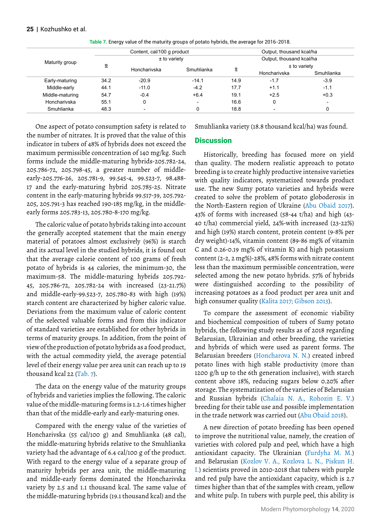|                 |              | Content, cal/100 g product | Output, thousand kcal/ha |      |                          |                          |  |  |  |
|-----------------|--------------|----------------------------|--------------------------|------|--------------------------|--------------------------|--|--|--|
| Maturity group  |              | $±$ to variety             |                          |      | Output, thousand kcal/ha |                          |  |  |  |
|                 | x            |                            |                          |      | $±$ to variety           |                          |  |  |  |
|                 | Honcharivska |                            | Smuhlianka               | x    | Honcharivska             | Smuhlianka               |  |  |  |
| Early-maturing  | 34.2         | $-20.9$                    | $-14.1$                  | 14.9 | $-1.7$                   | $-3.9$                   |  |  |  |
| Middle-early    | 44.1         | $-11.0$                    | $-4.2$                   | 17.7 | $+1.1$                   | $-1.1$                   |  |  |  |
| Middle-maturing | 54.7         | $-0.4$                     | $+6.4$                   | 19.1 | $+2.5$                   | $+0.3$                   |  |  |  |
| Honcharivska    | 55.1         | ٥                          | $\overline{\phantom{0}}$ | 16.6 | 0                        | $\overline{\phantom{0}}$ |  |  |  |
| Smuhlianka      | 48.3         |                            |                          | 18.8 | $\overline{\phantom{0}}$ | 0                        |  |  |  |

**Table 7.** Energy value of the maturity groups of potato hybrids, the average for 2016-2018.

One aspect of potato consumption safety is related to the number of nitrates. It is proved that the value of this indicator in tubers of 48% of hybrids does not exceed the maximum permissible concentration of 140 mg/kg. Such forms include the middle-maturing hybrids-205.782-24, 205.786-72, 205.798-45, a greater number of middleearly-205.776-26, 205.781-9, 99.545-4, 99.523-7, 98.488- 17 and the early-maturing hybrid 205.785-25. Nitrate content in the early-maturing hybrids 99.517-39, 205.792- 205, 205.791-3 has reached 190-185 mg/kg, in the middleearly forms 205.783-13, 205.780-8-170 mg/kg.

The caloric value of potato hybrids taking into account the generally accepted statement that the main energy material of potatoes almost exclusively (96%) is starch and its actual level in the studied hybrids, it is found out that the average calorie content of 100 grams of fresh potato of hybrids is 44 calories, the minimum-30, the maximum-58. The middle-maturing hybrids 205.792- 45, 205.786-72, 205.782-24 with increased (23-21.7%) and middle-early-99.523-7, 205.780-83 with high (19%) starch content are characterized by higher caloric value. Deviations from the maximum value of caloric content of the selected valuable forms and from this indicator of standard varieties are established for other hybrids in terms of maturity groups. In addition, from the point of view of the production of potato hybrids as a food product, with the actual commodity yield, the average potential level of their energy value per area unit can reach up to 19 thousand kcal 22 (Tab. 7).

The data on the energy value of the maturity groups of hybrids and varieties implies the following. The caloric value of the middle-maturing forms is 1.2-1.6 times higher than that of the middle-early and early-maturing ones.

Compared with the energy value of the varieties of Honcharivska (55 cal/100 g) and Smuhlianka (48 cal), the middle-maturing hybrids relative to the Smuhlianka variety had the advantage of 6.4 cal/100 g of the product. With regard to the energy value of a separate group of maturity hybrids per area unit, the middle-maturing and middle-early forms dominated the Honcharivska variety by 2.5 and 1.1 thousand kcal. The same value of the middle-maturing hybrids (19.1 thousand kcal) and the

Smuhlianka variety (18.8 thousand kcal/ha) was found.

#### **Discussion**

Historically, breeding has focused more on yield than quality. The modern realistic approach to potato breeding is to create highly productive intensive varieties with quality indicators, systematized towards product use. The new Sumy potato varieties and hybrids were created to solve the problem of potato globoderosis in the North-Eastern region of Ukraine (Abu Obaid 2017). 43% of forms with increased (58-44 t/ha) and high (43- 40 t/ha) commercial yield, 24%-with increased (23-22%) and high (19%) starch content, protein content (9-8% per dry weight)-14%, vitamin content (89-86 mg% of vitamin C and 0.26-0.19 mg% of vitamin K) and high potassium content (2-2, 2 mg%)-28%, 48% forms with nitrate content less than the maximum permissible concentration, were selected among the new potato hybrids. 57% of hybrids were distinguished according to the possibility of increasing potatoes as a food product per area unit and high consumer quality (Kalita 2017; Gibson 2013).

To compare the assessment of economic viability and biochemical composition of tubers of Sumy potato hybrids, the following study results as of 2018 regarding Belarusian, Ukrainian and other breeding, the varieties and hybrids of which were used as parent forms. The Belarusian breeders (Honcharova N. N.) created inbred potato lines with high stable productivity (more than 1200 g/h up to the 6th generation inclusive), with starch content above 18%, reducing sugars below 0.20% after storage. The systematization of the varieties of Belarusian and Russian hybrids (Chalaia N. A., Rohozin E. V.) breeding for their table use and possible implementation in the trade network was carried out (Abu Obaid 2018).

A new direction of potato breeding has been opened to improve the nutritional value, namely, the creation of varieties with colored pulp and peel, which have a high antioxidant capacity. The Ukrainian (Furdyha M. M.) and Belarusian (Kozlov V. A., Kozlova L. N., Piskun H. I.) scientists proved in 2010-2018 that tubers with purple and red pulp have the antioxidant capacity, which is 2.7 times higher than that of the samples with cream, yellow and white pulp. In tubers with purple peel, this ability is